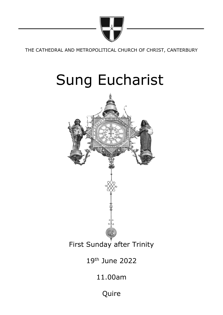

THE CATHEDRAL AND METROPOLITICAL CHURCH OF CHRIST, CANTERBURY

# Sung Eucharist



19 th June 2022

11.00am

Quire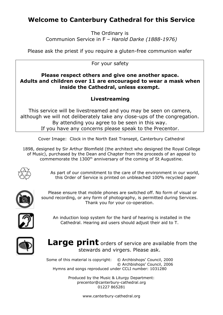#### **Welcome to Canterbury Cathedral for this Service**

The Ordinary is Communion Service in F *– Harold Darke (1888-1976)*

Please ask the priest if you require a gluten-free communion wafer

For your safety

#### **Please respect others and give one another space. Adults and children over 11 are encouraged to wear a mask when inside the Cathedral, unless exempt.**

#### **Livestreaming**

This service will be livestreamed and you may be seen on camera, although we will not deliberately take any close-ups of the congregation. By attending you agree to be seen in this way. If you have any concerns please speak to the Precentor.

Cover Image: Clock in the North East Transept, Canterbury Cathedral

1898, designed by Sir Arthur Blomfield (the architect who designed the Royal College of Music), purchased by the Dean and Chapter from the proceeds of an appeal to commemorate the 1300th anniversary of the coming of St Augustine.



As part of our commitment to the care of the environment in our world, this Order of Service is printed on unbleached 100% recycled paper



 Please ensure that mobile phones are switched off. No form of visual or sound recording, or any form of photography, is permitted during Services. Thank you for your co-operation.



 An induction loop system for the hard of hearing is installed in the Cathedral. Hearing aid users should adjust their aid to T.



**Large print** orders of service are available from the stewards and virgers. Please ask.

Some of this material is copyright: © Archbishops' Council, 2000 © Archbishops' Council, 2006 Hymns and songs reproduced under CCLI number: 1031280

> Produced by the Music & Liturgy Department: precentor@canterbury-cathedral.org 01227 865281

> > www.canterbury-cathedral.org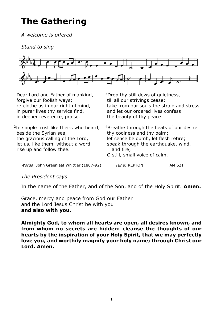# **The Gathering**

*A welcome is offered*

*Stand to sing*



 Dear Lord and Father of mankind, forgive our foolish ways: re-clothe us in our rightful mind, in purer lives thy service find, in deeper reverence, praise.

<sup>2</sup>In simple trust like theirs who heard, beside the Syrian sea, the gracious calling of the Lord, let us, like them, without a word rise up and follow thee.

<sup>3</sup>Drop thy still dews of quietness, till all our strivings cease; take from our souls the strain and stress, and let our ordered lives confess the beauty of thy peace.

<sup>4</sup>Breathe through the heats of our desire thy coolness and thy balm; let sense be dumb, let flesh retire; speak through the earthquake, wind, and fire, O still, small voice of calm.

*Words*: John Greenleaf Whittier (1807-92) *Tune:* REPTON AM 621i

#### *The President says*

In the name of the Father, and of the Son, and of the Holy Spirit. **Amen.**

Grace, mercy and peace from God our Father and the Lord Jesus Christ be with you **and also with you.**

**Almighty God, to whom all hearts are open, all desires known, and from whom no secrets are hidden: cleanse the thoughts of our hearts by the inspiration of your Holy Spirit, that we may perfectly love you, and worthily magnify your holy name; through Christ our Lord. Amen.**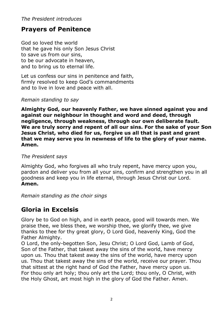*The President introduces* 

#### **Prayers of Penitence**

God so loved the world that he gave his only Son Jesus Christ to save us from our sins, to be our advocate in heaven, and to bring us to eternal life.

Let us confess our sins in penitence and faith, firmly resolved to keep God's commandments and to live in love and peace with all.

#### *Remain standing to say*

**Almighty God, our heavenly Father, we have sinned against you and against our neighbour in thought and word and deed, through negligence, through weakness, through our own deliberate fault. We are truly sorry and repent of all our sins. For the sake of your Son Jesus Christ, who died for us, forgive us all that is past and grant that we may serve you in newness of life to the glory of your name. Amen.**

#### *The President says*

Almighty God, who forgives all who truly repent, have mercy upon you, pardon and deliver you from all your sins, confirm and strengthen you in all goodness and keep you in life eternal, through Jesus Christ our Lord. **Amen.**

*Remain standing as the choir sings*

#### **Gloria in Excelsis**

Glory be to God on high, and in earth peace, good will towards men. We praise thee, we bless thee, we worship thee, we glorify thee, we give thanks to thee for thy great glory, O Lord God, heavenly King, God the Father Almighty.

O Lord, the only-begotten Son, Jesu Christ; O Lord God, Lamb of God, Son of the Father, that takest away the sins of the world, have mercy upon us. Thou that takest away the sins of the world, have mercy upon us. Thou that takest away the sins of the world, receive our prayer. Thou that sittest at the right hand of God the Father, have mercy upon us. For thou only art holy; thou only art the Lord; thou only, O Christ, with the Holy Ghost, art most high in the glory of God the Father. Amen.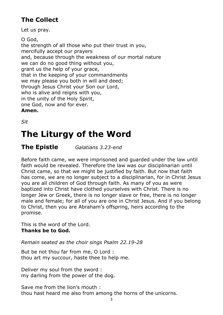### **The Collect**

Let us pray.

O God, the strength of all those who put their trust in you, mercifully accept our prayers and, because through the weakness of our mortal nature we can do no good thing without you, grant us the help of your grace, that in the keeping of your commandments we may please you both in will and deed; through Jesus Christ your Son our Lord, who is alive and reigns with you, in the unity of the Holy Spirit, one God, now and for ever.

#### **Amen.**

*Sit*

# **The Liturgy of the Word**

**The Epistle** *Galatians 3.23-end* 

Before faith came, we were imprisoned and guarded under the law until faith would be revealed. Therefore the law was our disciplinarian until Christ came, so that we might be justified by faith. But now that faith has come, we are no longer subject to a disciplinarian, for in Christ Jesus you are all children of God through faith. As many of you as were baptized into Christ have clothed yourselves with Christ. There is no longer Jew or Greek, there is no longer slave or free, there is no longer male and female; for all of you are one in Christ Jesus. And if you belong to Christ, then you are Abraham's offspring, heirs according to the promise.

This is the word of the Lord. **Thanks be to God.**

*Remain seated as the choir sings Psalm 22.19-28*

But be not thou far from me, O Lord : thou art my succour, haste thee to help me.

Deliver my soul from the sword : my darling from the power of the dog.

Save me from the lion's mouth : thou hast heard me also from among the horns of the unicorns.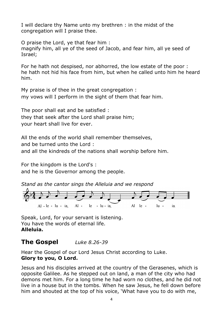I will declare thy Name unto my brethren : in the midst of the congregation will I praise thee.

O praise the Lord, ye that fear him : magnify him, all ye of the seed of Jacob, and fear him, all ye seed of Israel;

For he hath not despised, nor abhorred, the low estate of the poor : he hath not hid his face from him, but when he called unto him he heard him.

My praise is of thee in the great congregation : my vows will I perform in the sight of them that fear him.

The poor shall eat and be satisfied : they that seek after the Lord shall praise him; your heart shall live for ever.

All the ends of the world shall remember themselves, and be turned unto the Lord : and all the kindreds of the nations shall worship before him.

For the kingdom is the Lord's : and he is the Governor among the people.

*Stand as the cantor sings the Alleluia and we respond*



Speak, Lord, for your servant is listening. You have the words of eternal life. **Alleluia.**

#### **The Gospel** *Luke 8.26-39*

Hear the Gospel of our Lord Jesus Christ according to Luke. **Glory to you, O Lord.**

Jesus and his disciples arrived at the country of the Gerasenes, which is opposite Galilee. As he stepped out on land, a man of the city who had demons met him. For a long time he had worn no clothes, and he did not live in a house but in the tombs. When he saw Jesus, he fell down before him and shouted at the top of his voice, 'What have you to do with me,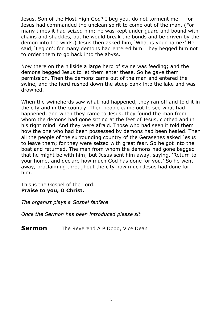Jesus, Son of the Most High God? I beg you, do not torment me'— for Jesus had commanded the unclean spirit to come out of the man. (For many times it had seized him; he was kept under guard and bound with chains and shackles, but he would break the bonds and be driven by the demon into the wilds.) Jesus then asked him, 'What is your name?' He said, 'Legion'; for many demons had entered him. They begged him not to order them to go back into the abyss.

Now there on the hillside a large herd of swine was feeding; and the demons begged Jesus to let them enter these. So he gave them permission. Then the demons came out of the man and entered the swine, and the herd rushed down the steep bank into the lake and was drowned.

When the swineherds saw what had happened, they ran off and told it in the city and in the country. Then people came out to see what had happened, and when they came to Jesus, they found the man from whom the demons had gone sitting at the feet of Jesus, clothed and in his right mind. And they were afraid. Those who had seen it told them how the one who had been possessed by demons had been healed. Then all the people of the surrounding country of the Gerasenes asked Jesus to leave them; for they were seized with great fear. So he got into the boat and returned. The man from whom the demons had gone begged that he might be with him; but Jesus sent him away, saying, 'Return to your home, and declare how much God has done for you.' So he went away, proclaiming throughout the city how much Jesus had done for him.

This is the Gospel of the Lord. **Praise to you, O Christ.**

*The organist plays a Gospel fanfare*

*Once the Sermon has been introduced please sit*

**Sermon** The Reverend A P Dodd, Vice Dean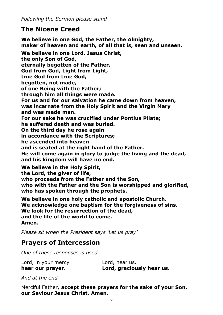#### **The Nicene Creed**

**We believe in one God, the Father, the Almighty, maker of heaven and earth, of all that is, seen and unseen. We believe in one Lord, Jesus Christ, the only Son of God, eternally begotten of the Father, God from God, Light from Light, true God from true God, begotten, not made, of one Being with the Father; through him all things were made. For us and for our salvation he came down from heaven, was incarnate from the Holy Spirit and the Virgin Mary and was made man. For our sake he was crucified under Pontius Pilate; he suffered death and was buried. On the third day he rose again in accordance with the Scriptures; he ascended into heaven and is seated at the right hand of the Father. He will come again in glory to judge the living and the dead, and his kingdom will have no end. We believe in the Holy Spirit,**

**the Lord, the giver of life, who proceeds from the Father and the Son, who with the Father and the Son is worshipped and glorified, who has spoken through the prophets.**

**We believe in one holy catholic and apostolic Church. We acknowledge one baptism for the forgiveness of sins. We look for the resurrection of the dead, and the life of the world to come. Amen.**

*Please sit when the President says 'Let us pray'*

#### **Prayers of Intercession**

*One of these responses is used*

| hear our prayer.    | Lord, graciously hear us. |
|---------------------|---------------------------|
| Lord, in your mercy | Lord, hear us.            |

*And at the end*

Merciful Father, **accept these prayers for the sake of your Son, our Saviour Jesus Christ. Amen.**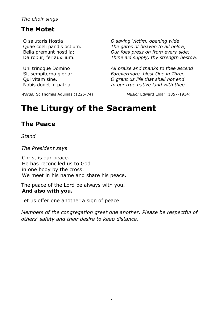#### *The choir sings*

#### **The Motet**

O salutaris Hostia Quae coeli pandis ostium. Bella premunt hostilia; Da robur, fer auxilium.

Uni trinoque Domino Sit sempiterna gloria: Qui vitam sine. Nobis donet in patria.

*Words:* St Thomas Aquinas (1225-74) *Music:* Edward Elgar (1857-1934)

*O saving Victim, opening wide The gates of heaven to all below, Our foes press on from every side; Thine aid supply, thy strength bestow.*

*All praise and thanks to thee ascend Forevermore, blest One in Three O grant us life that shall not end In our true native land with thee.*

# **The Liturgy of the Sacrament**

#### **The Peace**

*Stand*

*The President says*

Christ is our peace. He has reconciled us to God in one body by the cross. We meet in his name and share his peace.

The peace of the Lord be always with you. **And also with you.**

Let us offer one another a sign of peace.

*Members of the congregation greet one another. Please be respectful of others' safety and their desire to keep distance.*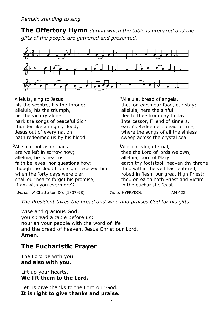**The Offertory Hymn** *during which the table is prepared and the gifts of the people are gathered and presented.*



 Alleluia, sing to Jesus! his the sceptre, his the throne; alleluia, his the triumph, his the victory alone: hark the songs of peaceful Sion thunder like a mighty flood; Jesus out of every nation, hath redeemed us by his blood.

<sup>2</sup>Alleluia, not as orphans are we left in sorrow now; alleluia, he is near us, faith believes, nor questions how: though the cloud from sight received him when the forty days were o'er, shall our hearts forget his promise, 'I am with you evermore'?

<sup>3</sup>Alleluia, bread of angels, thou on earth our food, our stay; alleluia, here the sinful flee to thee from day to day: Intercessor, Friend of sinners, earth's Redeemer, plead for me, where the songs of all the sinless sweep across the crystal sea.

<sup>4</sup>Alleluia, King eternal, thee the Lord of lords we own; alleluia, born of Mary, earth thy footstool, heaven thy throne: thou within the veil hast entered, robed in flesh, our great High Priest; thou on earth both Priest and Victim in the eucharistic feast.

 *Words:* W Chatterton Dix (1837-98) *Tune:* HYFRYDOL AM 422

*The President takes the bread and wine and praises God for his gifts*

Wise and gracious God, you spread a table before us; nourish your people with the word of life and the bread of heaven, Jesus Christ our Lord. **Amen.**

#### **The Eucharistic Prayer**

The Lord be with you **and also with you.**

Lift up your hearts. **We lift them to the Lord.**

Let us give thanks to the Lord our God. **It is right to give thanks and praise.**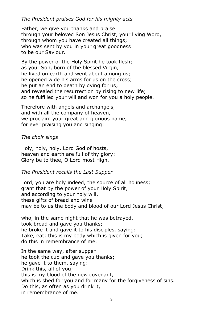#### *The President praises God for his mighty acts*

Father, we give you thanks and praise through your beloved Son Jesus Christ, your living Word, through whom you have created all things; who was sent by you in your great goodness to be our Saviour.

By the power of the Holy Spirit he took flesh; as your Son, born of the blessed Virgin, he lived on earth and went about among us; he opened wide his arms for us on the cross; he put an end to death by dying for us; and revealed the resurrection by rising to new life; so he fulfilled your will and won for you a holy people.

Therefore with angels and archangels, and with all the company of heaven, we proclaim your great and glorious name, for ever praising you and singing:

#### *The choir sings*

Holy, holy, holy, Lord God of hosts, heaven and earth are full of thy glory: Glory be to thee, O Lord most High.

#### *The President recalls the Last Supper*

Lord, you are holy indeed, the source of all holiness; grant that by the power of your Holy Spirit, and according to your holy will, these gifts of bread and wine may be to us the body and blood of our Lord Jesus Christ;

who, in the same night that he was betrayed, took bread and gave you thanks; he broke it and gave it to his disciples, saying: Take, eat; this is my body which is given for you; do this in remembrance of me.

In the same way, after supper he took the cup and gave you thanks; he gave it to them, saying: Drink this, all of you; this is my blood of the new covenant, which is shed for you and for many for the forgiveness of sins. Do this, as often as you drink it, in remembrance of me.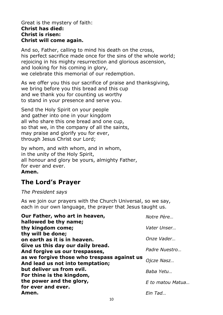#### Great is the mystery of faith: **Christ has died: Christ is risen: Christ will come again.**

And so, Father, calling to mind his death on the cross, his perfect sacrifice made once for the sins of the whole world; rejoicing in his mighty resurrection and glorious ascension, and looking for his coming in glory, we celebrate this memorial of our redemption.

As we offer you this our sacrifice of praise and thanksgiving, we bring before you this bread and this cup and we thank you for counting us worthy to stand in your presence and serve you.

Send the Holy Spirit on your people and gather into one in your kingdom all who share this one bread and one cup, so that we, in the company of all the saints, may praise and glorify you for ever, through Jesus Christ our Lord;

by whom, and with whom, and in whom, in the unity of the Holy Spirit, all honour and glory be yours, almighty Father, for ever and ever. **Amen.**

## **The Lord's Prayer**

#### *The President says*

As we join our prayers with the Church Universal, so we say, each in our own language, the prayer that Jesus taught us.

| Our Father, who art in heaven,                                      | Notre Père       |
|---------------------------------------------------------------------|------------------|
| hallowed be thy name;                                               |                  |
| thy kingdom come;                                                   | Vater Unser      |
| thy will be done;                                                   |                  |
| on earth as it is in heaven.                                        | Onze Vader       |
| Give us this day our daily bread.<br>And forgive us our trespasses, | Padre Nuestro    |
| as we forgive those who trespass against us                         | Ojcze Nasz       |
| And lead us not into temptation;<br>but deliver us from evil.       |                  |
| For thine is the kingdom,                                           | Baba Yetu        |
| the power and the glory,                                            | E to matou Matua |
| for ever and ever.                                                  |                  |
| Amen.                                                               | Ein Tad          |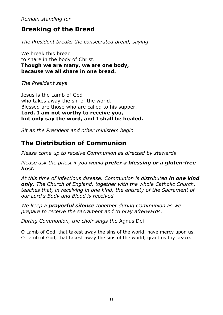*Remain standing for* 

#### **Breaking of the Bread**

*The President breaks the consecrated bread, saying*

We break this bread to share in the body of Christ. **Though we are many, we are one body, because we all share in one bread.**

*The President says*

Jesus is the Lamb of God who takes away the sin of the world. Blessed are those who are called to his supper. **Lord, I am not worthy to receive you, but only say the word, and I shall be healed.**

*Sit as the President and other ministers begin*

#### **The Distribution of Communion**

*Please come up to receive Communion as directed by stewards*

*Please ask the priest if you would prefer a blessing or a gluten-free host.*

*At this time of infectious disease, Communion is distributed in one kind only. The Church of England, together with the whole Catholic Church, teaches that, in receiving in one kind, the entirety of the Sacrament of our Lord's Body and Blood is received.* 

*We keep a prayerful silence together during Communion as we prepare to receive the sacrament and to pray afterwards.*

*During Communion, the choir sings the* Agnus Dei

O Lamb of God, that takest away the sins of the world, have mercy upon us. O Lamb of God, that takest away the sins of the world, grant us thy peace.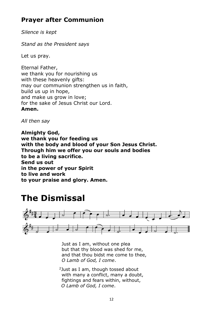#### **Prayer after Communion**

*Silence is kept*

*Stand as the President says* 

Let us pray.

Eternal Father, we thank you for nourishing us with these heavenly gifts: may our communion strengthen us in faith, build us up in hope, and make us grow in love: for the sake of Jesus Christ our Lord. **Amen.**

*All then say*

**Almighty God, we thank you for feeding us with the body and blood of your Son Jesus Christ. Through him we offer you our souls and bodies to be a living sacrifice. Send us out in the power of your Spirit to live and work to your praise and glory. Amen.**

# **The Dismissal**



Just as I am, without one plea but that thy blood was shed for me, and that thou bidst me come to thee, *O Lamb of God, I come*.

 $2$ Just as I am, though tossed about with many a conflict, many a doubt, fightings and fears within, without, *O Lamb of God, I come*.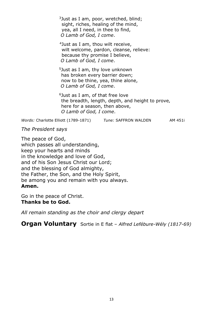$3$ Just as I am, poor, wretched, blind; sight, riches, healing of the mind, yea, all I need, in thee to find, *O Lamb of God, I come*.

<sup>4</sup>Just as I am, thou wilt receive, wilt welcome, pardon, cleanse, relieve: because thy promise I believe, *O Lamb of God, I come*.

 $5$ Just as I am, thy love unknown has broken every barrier down; now to be thine, yea, thine alone, *O Lamb of God, I come*.

 $6$ Just as I am, of that free love the breadth, length, depth, and height to prove**,** here for a season, then above,  *O Lamb of God, I come*.

| Words: Charlotte Elliott (1789-1871) | Tune: SAFFRON WALDEN | AM 451 |
|--------------------------------------|----------------------|--------|
|--------------------------------------|----------------------|--------|

*The President says*

The peace of God, which passes all understanding, keep your hearts and minds in the knowledge and love of God, and of his Son Jesus Christ our Lord; and the blessing of God almighty, the Father, the Son, and the Holy Spirit, be among you and remain with you always. **Amen.**

Go in the peace of Christ. **Thanks be to God.**

*All remain standing as the choir and clergy depart* 

**Organ Voluntary** Sortie in E flat – *Alfred Lefébure-Wély (1817-69)*